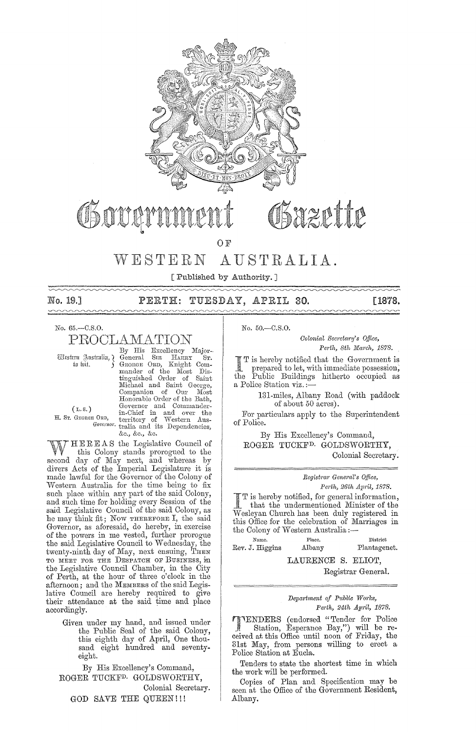

# hzette Obowe **OF**

#### WESTERN AUSTRALIA.

[Published by Authority.]

No. 19.1  $\sim$  PERTH: TUESDAY, APRIL 30.

-----[1878.

No. 65.-C.S.O.

PROCLAMATION

Western Justralia, ¿ to bit.

By His Excellency Major-SIR HARRY ... General GEORGE ORD, mander of the Most Distinguished Order of Saint Michael and Saint George, Michael and Saint George,<br>Companion of Our Most<br>Honorable Order of the Bath,<br>Governor and Commander-<br>in-Chief in and over the<br>EORD, territory of Western Aus-<br>Governor trailia and its Dependencies, &c., &c., &c.

 $(L.S.)$ H. Sr. GEORGE ORD,

HEREAS the Legislative Council of this Colony stands prorogued to the second day of May next, and whereas by<br>divers Acts of the Imperial Legislature it is made lawful for the Governor of the Colony of Western Australia for the time being to fix such place within any part of the said Colony, and such time for holding every Session of the said Legislative Council of the said Colony, as he may think fit; Now THEREFORE I, the said Governor, as aforesaid, do hereby, in exercise of the powers in me vested, further prorogue the said Legislative Council to Wednesday, the twenty-ninth day of May, next ensuing, THEN TO MEET FOR THE DESPATCH OF BUSINESS, in the Legislative Council Chamber, in the City of Perth, at the hour of three o'clock in the afternoon; and the MEMBERS of the said Legislative Council are hereby required to give their attendance at the said time and place accordingly.

Given under my hand, and issued under the Public Seal of the said Colony,<br>this eighth day of April, One thousand eight hundred and seventyeight.

By His Excellency's Command, ROGER TUCKF<sup>D.</sup> GOLDSWORTHY, Colonial Secretary. GOD SAVE THE QUEEN!!!

 $No. 50 - C.S.O.$ 

Colonial Secretary's Office, Perth, 8th March, 1878.

T is hereby notified that the Government is prepared to let, with immediate possession,<br>Public Buildings hitherto occupied as  $^{\rm the}$ a Police Station viz.:

> 131-miles, Albany Road (with paddock of about 50 acres).

For particulars apply to the Superintendent of Police.

By His Excellency's Command, ROGER TUCKF<sup>D.</sup> GOLDSWORTHY, Colonial Secretary.

# Registrar General's Office,

Perth, 26th April, 1878.  $\int_{\text{B}}$  T is hereby notified, for general information, that the undermentioned Minister of the  $\overline{W}$ esleyan Church has been duly registered in this Office for the celebration of Marriages in the Colony of Western Australia:-

Place. Name. District Rev. J. Higgins Albany  $\label{eq:plant} {\rm Planetagenet.}$ 

LAURENCE S. ELIOT,

Registrar General.

Department of Public Works, Perth, 24th April, 1878.

**ITENDERS** (endorsed "Tender for Police Station, Esperance Bay,") will be received at this Office until noon of Friday, the 31st May, from persons willing to erect a Police Station at Eucla.

Tenders to state the shortest time in which the work will be performed.

Copies of Plan and Specification may be seen at the Office of the Government Resident, Albany.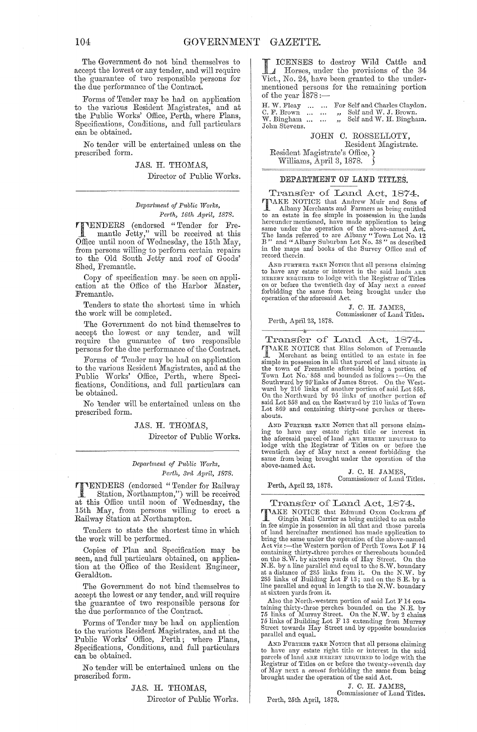The Government do not bind themselves to accept the lowest or any tender, and will require the guarantee of two responsible persons for the due performance of the Oontract.

Forms of Tender may be had on application to the various Resident Magistrates, and at the Public Works' Office, Perth, where Plans, Specifications, Oonditions, and full particulars can be obtained.

No tender will be entertained unless on the prescribed form.

> JAS. H. THOMAS, Director of Public Works.

#### *Depaj·trnent of Public WO?'ks, Pm·th, 16th Apj'il, 1878.*

**TTENDERS** (endorsed "Tender for Fre-<br>mantle Jetty," will be received at this Office until noon of Wednesday, the 15th May, from persons willing to perform certain repairs to the Old South Jetty and roof of Goods' Shed, Fremantle.

Copy of specification may. be seen on application at the Office of the Harbor Master, Fremantle.

Tenders to state the shortest time in which the work will be completed.

The Government do not bind themselves to accept the lowest or any tender, and will require the guamntee of two responsible persons for the due performance of the Oontract.

Forms of Tender may be had on application to the various Resident Magistrates, and at the Public Works' Office, Perth, where Specifications, Oonditions, anel full particulars can be obtained.

No 'tender will be entertained unless on the prescribed form.

> JAS. H. THOMAS, Director of Public Works.

*Department of Public Works,* Perth, 3rd April, 1878.

TTENDERS (endorsed "Tender for Railway Station, Northampton,") will be received at this Office until noon of Wednesday, the 15th May, from persons willing to erect a Railway Station at Northampton.

Tenders to state the shortest time in which the work will be performed.

Copies of Plan and Specification may be seen, and full particulars obtained, on application at the Office of the Resident Engineer, Gera1dton.

The Government do not bind themselves to accept the lowest or any tender, and will require the guarantee of two responsible persons for the due performance of the Contract.

Forms of Tender may be had on application to the various Resident Magistrates, and at the Public Works' Office, Perth; where Plans, Specifications, Oonditions, and full particulars can be obtained.

No tender will be entertained unless on the prescribed form.

> JAS. H. THOMAS, Director of Public Works.

IOENSES to destroy Wild Cattle and A Horses, under the provisions of the 34 Vict., No. 24, have been granted to the undermentioned persons for the remaining portion of the year  $1878$  :-

H. W. Fleay ... C. F. Brown ... W. Bingham ... John Stevens. For Self and Charles Claydon.<br>,, Self and W. J. Brown.<br>,, Self and W. H. Bingham.

JOHN O. ROSSELLOTY, Resident Magistrate. Resident Magistrate's Office,} Williams, April 3, 1878.

### DEPARTMENT OF LAND TITLES.

Transfer of Land Act, 1874. TIMKE NOTICE that Andrew Muir and Sons of Albany Merchants and Farmers as being entitled to an estate in fee simple in possession in the lands hereunder mentioned, have made application to bring<br>same under the operation of the above-named Act.<br>The lands referred to are Albany "Town Lot No. 12<br>B" and "Albany Suburban Lot No. 38" as described<br>in the maps and books record therein,

AND FURTHER TAKE NOTICE that all persons claiming<br>to have any estate or interest in the said lands ARE<br>HEREBY REQUIRED to lodge with the Registrar of Titles<br>on or before the twentieth day of May next a caveaut<br>forbidding t

J. C. H. JAMES, Commissioner of Land Titles.

Perth, April 23, 1878.

*iI?* 

Transfer of Land Act, 1874. **TAKE NOTICE** that Elias Solomon of Fremantle<br> **I** Merchant as being entitled to an estate in fee<br>
simple in possession in all that parelel of land situate in<br>
the town of Fremantle aforesaid being a portion of<br>
Town Lot N Lot 869 and containing thirty-one perches or thereabouts.

AND FURTHER TAKE NOTICE that all persons claiming to have any estate right title or interest in the aforesaid parcel of land are menteur recounted bodge with the Registrar of Titles on or before the twentieth day of May n above-named Act.

J. C. H. JAMES, Commissioner of Land Titles.

Perth, April 23, 1878.

Transfer of Land Act, 1874.

TIME NOTICE that Edmund Oxon Cockram of<br>
I Gingin Mail Carrier as being entitled to an estate<br>
in free simple in possession in all that and those parcels<br>
of land hereinater mentioned has made application to<br>
bring the sam containing thirty-three perches or thereabouts bounded<br>on the S.W. by sixteen yards of Hay Street. On the<br>N.E. by a line parallel and equal to the S.W. boundary<br>at a distance of 285 links from it. On the N.W. by a<br>285 lin at sixteen yards from it.

Also the North-western portion of said Lot F 14 containing thirty-three perches bounded on the N.E. by 75 links of Murray Street. On the N.W. by 2 chains 75 links of Building Lot F 13 extending from Murray Street towards H parallel and equal.

AND FURTHER TAKE NOTICE that all persons claiming to have any estate right title or interest in the said<br>parcels of land ARE HEREER REQUIRED to lodge with the<br>Registrar of Titles on or before the twenty-seventh day<br>of May next a *caveat* forbidding the same from being brought mlder the operation of the said Act.

> J. C. H. JAMES Commissioner of Land Titles.

Perth, 25th April, 1878.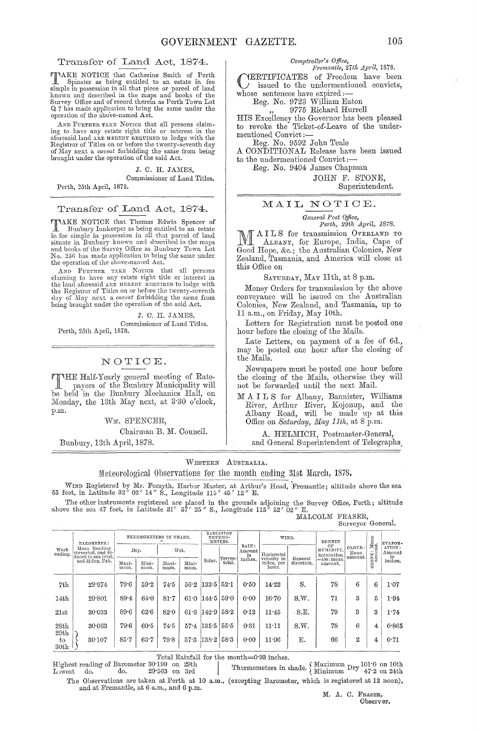Transfer of Land Act, 1874.<br>
TAKE NOTICE that Catherine Smith of Perth<br>
Spinster of bina Catherine Smith of Perth TAKE NOTICE that Catherine Smith of Perth Spinster as being entitled to an estate in fee simple in possession in all that piece or parcel of land known and described in the maps and books of the Survey Office and of record therein as Perth Town Lot Q 7 has made application to bring the same under the operation of the above-named Act.

AND FURTHER TAKE NOTICE that all persons claim-<br>ing to have any estate right title or interest in the<br>aforesaid land ARE HERERY REQUIRED to lodge with the<br>Registrar of Titles on or before the twenty-seventh day of May next a *careat* forbidding the same from being brought under the operation of the said Act.

J. C. H. JAMES,

Commissioner of Land Titles. Perth, 25th April, 1878.

Transfer of Land Act, 1874.

TIAKE NOTICE that Thomas Edwin Spencer of I Bunbury Innkeeper as being entitled to an estate<br>in fee simple in possession in all that parcel of land<br>situate in Bunbury known and described in the maps and books of the Survey Office as Bunbury Town Lot<br>No. 256 has made application to bring the same under the operation of the above-muned Act.

AND FURTHER TAKE NOTICE that all persons claiming to have any estate right title or interest in the land aforesaid ARE FIREBY REQUIRED to lodge with the Registrar of Titles on or before the twenty-seventh day of May next a being' brought under the operation of the said Act.

J. C. H. JAMES. Commissioner of Land Titles. Perth, 25th April, 1878.

### NOTIOE.

TTHE Half-Yearly general meeting of Rate-<br>http://www.payers.of. the Bunbury Municipality will:<br>http://www.payers.org/waters.org/waters.org/waters.org/waters.org/waters.org/waters.org/waters.org/waters.org be held in the Bunbury Mechanics Hall, on Monday, the 13th May next, at 3'30 o'clock, p.m.

WM. SPENCER,

Chairman B. M. Council.

Bunbmy, 13th April, 1878.

# *Comptroller's O/fice, F"emantie, 27th April, 1878.*

YERTIFICATES of Freedom have been issued to the undermentioned convicts, whose sentences have expired:-

Reg. No. 9723 William Eaton

9775 Richard Hurrell

HIS Excellency the Governor has been pleased to revoke the Ticket-of-Leave of the undermentioned Convict:-

Reg. No. 9592 John Teale

A CONDITIONAL Release have been issued to the undermentioned Convict:-

Eeg. No. 9404 James Chapman

JOHN F. STONE, Superintendent.

## MAIL NOTIOE.

*General Post Office,*  Perth, 29th Apj'il, 1878.

M AILS for transmission OVERLAND TO<br>ALBANY, for Europe, India, Cape of Good Hope, &c.; the Australian Colonies, New Zealand, Tasmania, and America will close at this Office on

SATURDAY, MAY 11th, at 8 p.m.

Money Orders for transmission by the aboye conveyance will be issued on the Australian Colonies, New Zealand, and Tasmania, up to 11 a.m., on Friday, May 10th.

Letters for Registration must be posted one hour before the closing of the Mails.

Late Letters, on payment of a fee of  $6d$ ., may be posted one hour after the closing of the Mails.

Newspapers must be posted one hour before the closing of the Mails, otherwise they will not be forwarded until the next Mail.

M A I L S for Albany, Bannister, Williams River, Arthur River, Kojonup, and the Albany Road, will be made up at this Office on *Saturday*, *May 11th*, at 8 p.m.

A. HELMICH, Postmaster-General, and General Superintendent of Telegraphs.

WESTERN AUSTRALIA.

Meteorological Observations for the month ending 31st March, 1878.

WIND Registered by Mr. Forsyth, Harbor Master, at Arthur's Head, Fremantle; altitude above the sea 55 feet, in Latitude 32° 02' 14" S., Longitude 115° 45' 12" E.

The other instruments registered are placed in the grounds adjoining the Survey Office, Perth; altitude above the sea 47 feet, in Latitude 31° 57' 25" S., Longitude 115° 52' 02" E.

MALCOLM FRASER,<br>Surveyor General.

| Week<br>ending.                 | BAROMETER:                                                                    |               | THERMOMETERS IN SHADE. |               | RADIATION<br>THERMO-<br>METERS. |                |                   | WIND.                 |                                    | DEGREE                |                               | Ican<br>L<br>ಗದ<br>≝<br>NE:<br>RO | EVAPOR-<br>ATION:<br>Amount<br>in |                           |
|---------------------------------|-------------------------------------------------------------------------------|---------------|------------------------|---------------|---------------------------------|----------------|-------------------|-----------------------|------------------------------------|-----------------------|-------------------------------|-----------------------------------|-----------------------------------|---------------------------|
|                                 | Mean Reading<br>corrected, and re-<br>duced to sea level,<br>and 32 deg. Fah. | Dry.          |                        | Wet.          |                                 |                |                   | RAIN:<br>Amount<br>in | Horizontal                         |                       | OF<br>HUMIDITY,<br>Saturation |                                   |                                   | CLOUD:<br>Mean<br>amount. |
|                                 |                                                                               | Maxi-<br>mum. | Mini-<br>mum.          | Maxi-<br>mum. | Mini-<br>mum.                   | Solar.         | Terres-<br>trial. | inches.               | velocity in<br>miles, per<br>hour. | General<br>direction. | ==100 : mean<br>amount.       |                                   | $\ddot{\circ}$ $\approx$          | inches.                   |
| 7th                             | 29.974                                                                        | 79.6          | 59.2                   | 74.5          | 56.2                            | 133.5          | 52.1              | 0.50                  | 14.22                              | S.                    | 78                            | 6                                 | 6                                 | 1.07                      |
| 14 <sub>th</sub>                | 29.801                                                                        | 89.4          | 64.0                   | 81.7          | 61.0                            | 144.5          | 59.0              | 0.00                  | 16.70                              | S.W.                  | 71                            | 3                                 | 5                                 | 1.94                      |
| 21st                            | 30.033                                                                        | 89.6          | 62.6                   | 82.0          |                                 | 61.6 $ 142.9 $ | 58.2              | 0.12                  | 11.45                              | $-S.E.$               | 79                            | 3                                 | 3                                 | 1.74                      |
| 28th<br>29th                    | 30.063                                                                        | 79.6          | 60.5                   | 74.5          | 57.4                            | 135.5 55.5     |                   | 0.31                  | 11:11                              | S.W.                  | 78                            | 6                                 | 4                                 | 0.865                     |
| $t_{\rm O}$<br>30 <sub>th</sub> | 30.107                                                                        | 85.7          | 63.7                   | 79.8          | 57.3                            | 138.2          | 58.3              | 0.00                  | 11.06                              | Е.                    | 66                            | 2                                 | 4                                 | 0.71                      |

Total Rainfall for the month=0.93 inches.<br>Highest reading of Barometer 30.199 on 29th<br>Lowest do. 29.563 on 3rd Thermometers in s  $\begin{array}{c|c|c|c|c|c|c|c} \text{30th} & & & & & \text{Total Rainfall for the month=0:93 inches.} \ \text{Higher reading of Barometer 30:199 on 29th} & & & & \text{Thermometers in shade, } \{\text{Maximum Dry 101:0 on 10th 100:00015}\}, \ \text{Lywest} & & & & & \text{Thermometers in shade, } \{\text{Minimum Dry 47:2 on 24th 10:00015}\}, \end{array}$ The Observations are taken at Perth at 10 a.m., (excepting Barometer, which is registered at 12 noon),

and at Fremantle, at 6 a.m., and 6 p.m. M. A. C. FRASER,